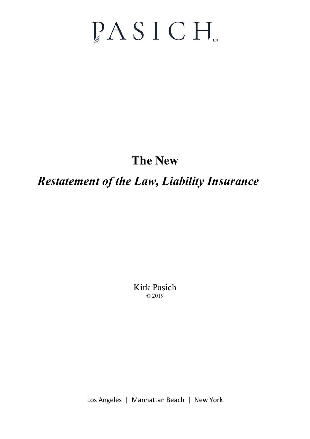# PASICH.

# **The New**

# *Restatement of the Law, Liability Insurance*

Kirk Pasich © 2019

Los Angeles | Manhattan Beach | New York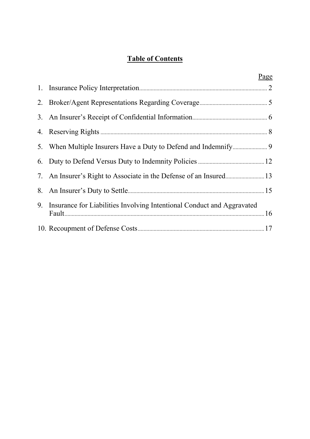# **Table of Contents**

|                                                                           | Page |
|---------------------------------------------------------------------------|------|
|                                                                           |      |
|                                                                           |      |
|                                                                           |      |
|                                                                           |      |
|                                                                           |      |
|                                                                           |      |
| 7. An Insurer's Right to Associate in the Defense of an Insured 13        |      |
|                                                                           |      |
| 9. Insurance for Liabilities Involving Intentional Conduct and Aggravated |      |
|                                                                           |      |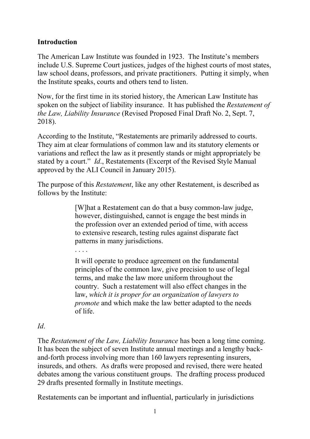# **Introduction**

The American Law Institute was founded in 1923. The Institute's members include U.S. Supreme Court justices, judges of the highest courts of most states, law school deans, professors, and private practitioners. Putting it simply, when the Institute speaks, courts and others tend to listen.

Now, for the first time in its storied history, the American Law Institute has spoken on the subject of liability insurance. It has published the *Restatement of the Law, Liability Insurance* (Revised Proposed Final Draft No. 2, Sept. 7, 2018).

According to the Institute, "Restatements are primarily addressed to courts. They aim at clear formulations of common law and its statutory elements or variations and reflect the law as it presently stands or might appropriately be stated by a court." *Id*., Restatements (Excerpt of the Revised Style Manual approved by the ALI Council in January 2015).

The purpose of this *Restatement*, like any other Restatement, is described as follows by the Institute:

> [W]hat a Restatement can do that a busy common-law judge, however, distinguished, cannot is engage the best minds in the profession over an extended period of time, with access to extensive research, testing rules against disparate fact patterns in many jurisdictions.

. . . .

It will operate to produce agreement on the fundamental principles of the common law, give precision to use of legal terms, and make the law more uniform throughout the country. Such a restatement will also effect changes in the law, *which it is proper for an organization of lawyers to promote* and which make the law better adapted to the needs of life.

#### *Id*.

The *Restatement of the Law, Liability Insurance* has been a long time coming. It has been the subject of seven Institute annual meetings and a lengthy backand-forth process involving more than 160 lawyers representing insurers, insureds, and others. As drafts were proposed and revised, there were heated debates among the various constituent groups. The drafting process produced 29 drafts presented formally in Institute meetings.

Restatements can be important and influential, particularly in jurisdictions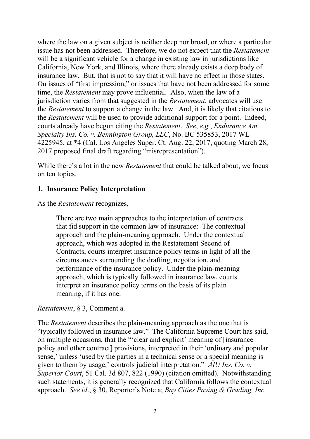where the law on a given subject is neither deep nor broad, or where a particular issue has not been addressed. Therefore, we do not expect that the *Restatement* will be a significant vehicle for a change in existing law in jurisdictions like California, New York, and Illinois, where there already exists a deep body of insurance law. But, that is not to say that it will have no effect in those states. On issues of "first impression," or issues that have not been addressed for some time, the *Restatement* may prove influential. Also, when the law of a jurisdiction varies from that suggested in the *Restatement*, advocates will use the *Restatement* to support a change in the law. And, it is likely that citations to the *Restatement* will be used to provide additional support for a point. Indeed, courts already have begun citing the *Restatement*. *See*, *e.g.*, *Endurance Am. Specialty Ins. Co. v. Bennington Group, LLC*, No. BC 535853, 2017 WL 4225945, at \*4 (Cal. Los Angeles Super. Ct. Aug. 22, 2017, quoting March 28, 2017 proposed final draft regarding "misrepresentation").

While there's a lot in the new *Restatement* that could be talked about, we focus on ten topics.

#### <span id="page-3-0"></span>**1. Insurance Policy Interpretation**

#### As the *Restatement* recognizes,

There are two main approaches to the interpretation of contracts that fid support in the common law of insurance: The contextual approach and the plain-meaning approach. Under the contextual approach, which was adopted in the Restatement Second of Contracts, courts interpret insurance policy terms in light of all the circumstances surrounding the drafting, negotiation, and performance of the insurance policy. Under the plain-meaning approach, which is typically followed in insurance law, courts interpret an insurance policy terms on the basis of its plain meaning, if it has one.

*Restatement*, § 3, Comment a.

The *Restatement* describes the plain-meaning approach as the one that is "typically followed in insurance law." The California Supreme Court has said, on multiple occasions, that the "'clear and explicit' meaning of [insurance policy and other contract] provisions, interpreted in their 'ordinary and popular sense,' unless 'used by the parties in a technical sense or a special meaning is given to them by usage,' controls judicial interpretation." *AIU Ins. Co. v. Superior Court*, 51 Cal. 3d 807, 822 (1990) (citation omitted). Notwithstanding such statements, it is generally recognized that California follows the contextual approach. *See id*., § 30, Reporter's Note a; *Bay Cities Paving & Grading, Inc.*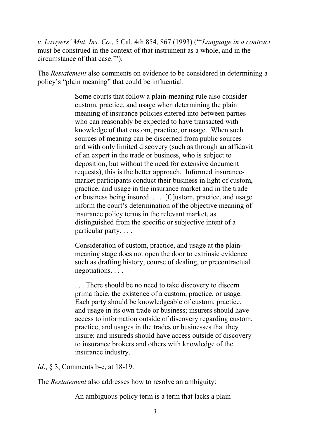*v. Lawyers' Mut. Ins. Co.*, 5 Cal. 4th 854, 867 (1993) ("'*Language in a contract* must be construed in the context of that instrument as a whole, and in the circumstance of that case.'").

The *Restatement* also comments on evidence to be considered in determining a policy's "plain meaning" that could be influential:

> Some courts that follow a plain-meaning rule also consider custom, practice, and usage when determining the plain meaning of insurance policies entered into between parties who can reasonably be expected to have transacted with knowledge of that custom, practice, or usage. When such sources of meaning can be discerned from public sources and with only limited discovery (such as through an affidavit of an expert in the trade or business, who is subject to deposition, but without the need for extensive document requests), this is the better approach. Informed insurancemarket participants conduct their business in light of custom, practice, and usage in the insurance market and in the trade or business being insured. . . . [C]ustom, practice, and usage inform the court's determination of the objective meaning of insurance policy terms in the relevant market, as distinguished from the specific or subjective intent of a particular party. . . .

Consideration of custom, practice, and usage at the plainmeaning stage does not open the door to extrinsic evidence such as drafting history, course of dealing, or precontractual negotiations. . . .

. . . There should be no need to take discovery to discern prima facie, the existence of a custom, practice, or usage. Each party should be knowledgeable of custom, practice, and usage in its own trade or business; insurers should have access to information outside of discovery regarding custom, practice, and usages in the trades or businesses that they insure; and insureds should have access outside of discovery to insurance brokers and others with knowledge of the insurance industry.

*Id.*, § 3, Comments b-c, at 18-19.

The *Restatement* also addresses how to resolve an ambiguity:

An ambiguous policy term is a term that lacks a plain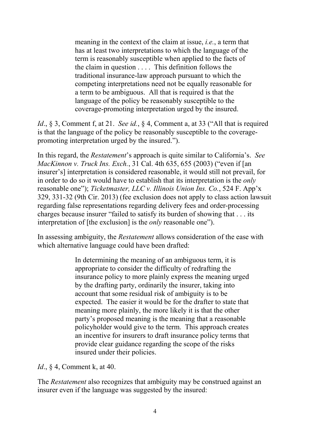meaning in the context of the claim at issue, *i.e.*, a term that has at least two interpretations to which the language of the term is reasonably susceptible when applied to the facts of the claim in question . . . . This definition follows the traditional insurance-law approach pursuant to which the competing interpretations need not be equally reasonable for a term to be ambiguous. All that is required is that the language of the policy be reasonably susceptible to the coverage-promoting interpretation urged by the insured.

*Id*., § 3, Comment f, at 21. *See id.*, § 4, Comment a, at 33 ("All that is required is that the language of the policy be reasonably susceptible to the coveragepromoting interpretation urged by the insured.").

In this regard, the *Restatement*'s approach is quite similar to California's. *See MacKinnon v. Truck Ins. Exch.*, 31 Cal. 4th 635, 655 (2003) ("even if [an insurer's] interpretation is considered reasonable, it would still not prevail, for in order to do so it would have to establish that its interpretation is the *only* reasonable one"); *Ticketmaster, LLC v. Illinois Union Ins. Co.*, 524 F. App'x 329, 331-32 (9th Cir. 2013) (fee exclusion does not apply to class action lawsuit regarding false representations regarding delivery fees and order-processing charges because insurer "failed to satisfy its burden of showing that . . . its interpretation of [the exclusion] is the *only* reasonable one").

In assessing ambiguity, the *Restatement* allows consideration of the ease with which alternative language could have been drafted:

> In determining the meaning of an ambiguous term, it is appropriate to consider the difficulty of redrafting the insurance policy to more plainly express the meaning urged by the drafting party, ordinarily the insurer, taking into account that some residual risk of ambiguity is to be expected. The easier it would be for the drafter to state that meaning more plainly, the more likely it is that the other party's proposed meaning is the meaning that a reasonable policyholder would give to the term. This approach creates an incentive for insurers to draft insurance policy terms that provide clear guidance regarding the scope of the risks insured under their policies.

*Id.*, § 4, Comment k, at 40.

The *Restatement* also recognizes that ambiguity may be construed against an insurer even if the language was suggested by the insured: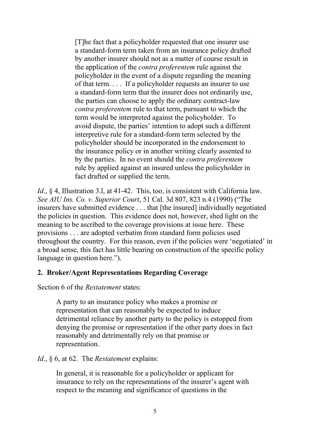[T]he fact that a policyholder requested that one insurer use a standard-form term taken from an insurance policy drafted by another insurer should not as a matter of course result in the application of the *contra proferentem* rule against the policyholder in the event of a dispute regarding the meaning of that term. . . . If a policyholder requests an insurer to use a standard-form term that the insurer does not ordinarily use, the parties can choose to apply the ordinary contract-law *contra proferentem* rule to that term, pursuant to which the term would be interpreted against the policyholder. To avoid dispute, the parties' intention to adopt such a different interpretive rule for a standard-form term selected by the policyholder should be incorporated in the endorsement to the insurance policy or in another writing clearly assented to by the parties. In no event should the *contra proferentem* rule by applied against an insured unless the policyholder in fact drafted or supplied the term.

*Id.*, § 4, Illustration 3.1, at 41-42. This, too, is consistent with California law. *See AIU Ins. Co. v. Superior Court*, 51 Cal. 3d 807, 823 n.4 (1990) ("The insurers have submitted evidence . . . that [the insured] individually negotiated the policies in question. This evidence does not, however, shed light on the meaning to be ascribed to the coverage provisions at issue here. These provisions . . . are adopted verbatim from standard form policies used throughout the country. For this reason, even if the policies were 'negotiated' in a broad sense, this fact has little bearing on construction of the specific policy language in question here.").

#### <span id="page-6-0"></span>**2. Broker/Agent Representations Regarding Coverage**

Section 6 of the *Restatement* states:

A party to an insurance policy who makes a promise or representation that can reasonably be expected to induce detrimental reliance by another party to the policy is estopped from denying the promise or representation if the other party does in fact reasonably and detrimentally rely on that promise or representation.

*Id*., § 6, at 62. The *Restatement* explains:

In general, it is reasonable for a policyholder or applicant for insurance to rely on the representations of the insurer's agent with respect to the meaning and significance of questions in the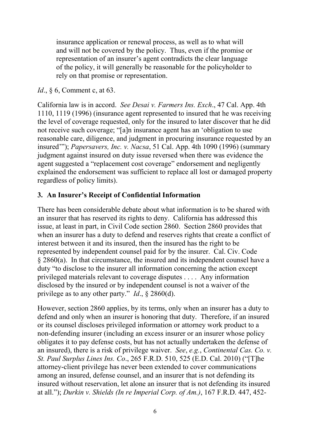insurance application or renewal process, as well as to what will and will not be covered by the policy. Thus, even if the promise or representation of an insurer's agent contradicts the clear language of the policy, it will generally be reasonable for the policyholder to rely on that promise or representation.

# *Id.*, § 6, Comment c, at 63.

California law is in accord. *See Desai v. Farmers Ins. Exch*., 47 Cal. App. 4th 1110, 1119 (1996) (insurance agent represented to insured that he was receiving the level of coverage requested, only for the insured to later discover that he did not receive such coverage; "[a]n insurance agent has an 'obligation to use reasonable care, diligence, and judgment in procuring insurance requested by an insured'"); *Papersavers, Inc. v. Nacsa*, 51 Cal. App. 4th 1090 (1996) (summary judgment against insured on duty issue reversed when there was evidence the agent suggested a "replacement cost coverage" endorsement and negligently explained the endorsement was sufficient to replace all lost or damaged property regardless of policy limits).

# <span id="page-7-0"></span>**3. An Insurer's Receipt of Confidential Information**

There has been considerable debate about what information is to be shared with an insurer that has reserved its rights to deny. California has addressed this issue, at least in part, in Civil Code section 2860. Section 2860 provides that when an insurer has a duty to defend and reserves rights that create a conflict of interest between it and its insured, then the insured has the right to be represented by independent counsel paid for by the insurer. Cal. Civ. Code § 2860(a). In that circumstance, the insured and its independent counsel have a duty "to disclose to the insurer all information concerning the action except privileged materials relevant to coverage disputes . . . . Any information disclosed by the insured or by independent counsel is not a waiver of the privilege as to any other party." *Id*., § 2860(d).

However, section 2860 applies, by its terms, only when an insurer has a duty to defend and only when an insurer is honoring that duty. Therefore, if an insured or its counsel discloses privileged information or attorney work product to a non-defending insurer (including an excess insurer or an insurer whose policy obligates it to pay defense costs, but has not actually undertaken the defense of an insured), there is a risk of privilege waiver. *See*, *e.g.*, *Continental Cas. Co. v. St. Paul Surplus Lines Ins. Co*., 265 F.R.D. 510, 525 (E.D. Cal. 2010) ("[T]he attorney-client privilege has never been extended to cover communications among an insured, defense counsel, and an insurer that is not defending its insured without reservation, let alone an insurer that is not defending its insured at all."); *Durkin v. Shields (In re Imperial Corp. of Am.)*, 167 F.R.D. 447, 452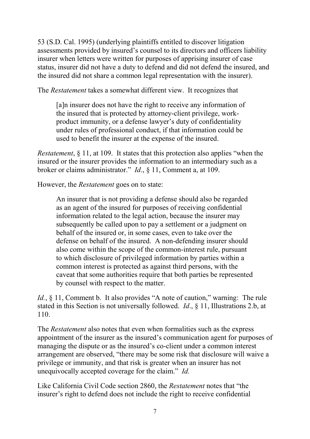53 (S.D. Cal. 1995) (underlying plaintiffs entitled to discover litigation assessments provided by insured's counsel to its directors and officers liability insurer when letters were written for purposes of apprising insurer of case status, insurer did not have a duty to defend and did not defend the insured, and the insured did not share a common legal representation with the insurer).

The *Restatement* takes a somewhat different view. It recognizes that

[a]n insurer does not have the right to receive any information of the insured that is protected by attorney-client privilege, workproduct immunity, or a defense lawyer's duty of confidentiality under rules of professional conduct, if that information could be used to benefit the insurer at the expense of the insured.

*Restatement*, § 11, at 109. It states that this protection also applies "when the insured or the insurer provides the information to an intermediary such as a broker or claims administrator." *Id*., § 11, Comment a, at 109.

However, the *Restatement* goes on to state:

An insurer that is not providing a defense should also be regarded as an agent of the insured for purposes of receiving confidential information related to the legal action, because the insurer may subsequently be called upon to pay a settlement or a judgment on behalf of the insured or, in some cases, even to take over the defense on behalf of the insured. A non-defending insurer should also come within the scope of the common-interest rule, pursuant to which disclosure of privileged information by parties within a common interest is protected as against third persons, with the caveat that some authorities require that both parties be represented by counsel with respect to the matter.

*Id.*, § 11, Comment b. It also provides "A note of caution," warning: The rule stated in this Section is not universally followed. *Id*., § 11, Illustrations 2.b, at 110.

The *Restatement* also notes that even when formalities such as the express appointment of the insurer as the insured's communication agent for purposes of managing the dispute or as the insured's co-client under a common interest arrangement are observed, "there may be some risk that disclosure will waive a privilege or immunity, and that risk is greater when an insurer has not unequivocally accepted coverage for the claim." *Id.*

Like California Civil Code section 2860, the *Restatement* notes that "the insurer's right to defend does not include the right to receive confidential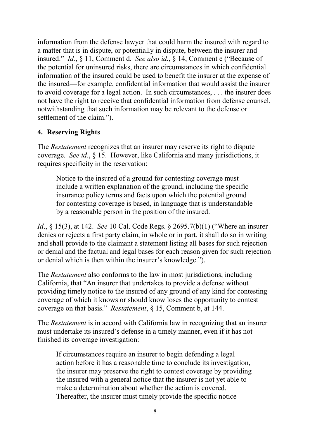information from the defense lawyer that could harm the insured with regard to a matter that is in dispute, or potentially in dispute, between the insurer and insured." *Id.*, § 11, Comment d. *See also id.*, § 14, Comment e ("Because of the potential for uninsured risks, there are circumstances in which confidential information of the insured could be used to benefit the insurer at the expense of the insured—for example, confidential information that would assist the insurer to avoid coverage for a legal action. In such circumstances, . . . the insurer does not have the right to receive that confidential information from defense counsel, notwithstanding that such information may be relevant to the defense or settlement of the claim.").

# <span id="page-9-0"></span>**4. Reserving Rights**

The *Restatement* recognizes that an insurer may reserve its right to dispute coverage*. See id*., § 15. However, like California and many jurisdictions, it requires specificity in the reservation:

Notice to the insured of a ground for contesting coverage must include a written explanation of the ground, including the specific insurance policy terms and facts upon which the potential ground for contesting coverage is based, in language that is understandable by a reasonable person in the position of the insured.

*Id*., § 15(3), at 142. *See* 10 Cal. Code Regs. § 2695.7(b)(1) ("Where an insurer denies or rejects a first party claim, in whole or in part, it shall do so in writing and shall provide to the claimant a statement listing all bases for such rejection or denial and the factual and legal bases for each reason given for such rejection or denial which is then within the insurer's knowledge.").

The *Restatement* also conforms to the law in most jurisdictions, including California, that "An insurer that undertakes to provide a defense without providing timely notice to the insured of any ground of any kind for contesting coverage of which it knows or should know loses the opportunity to contest coverage on that basis." *Restatement*, § 15, Comment b, at 144.

The *Restatement* is in accord with California law in recognizing that an insurer must undertake its insured's defense in a timely manner, even if it has not finished its coverage investigation:

If circumstances require an insurer to begin defending a legal action before it has a reasonable time to conclude its investigation, the insurer may preserve the right to contest coverage by providing the insured with a general notice that the insurer is not yet able to make a determination about whether the action is covered. Thereafter, the insurer must timely provide the specific notice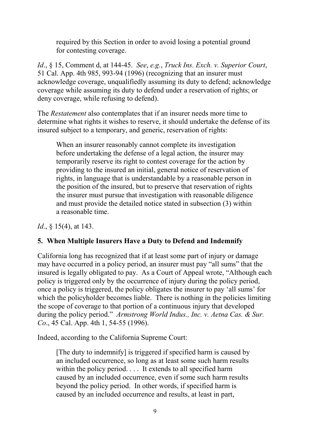required by this Section in order to avoid losing a potential ground for contesting coverage.

*Id*., § 15, Comment d, at 144-45. *See*, *e.g.*, *Truck Ins. Exch. v. Superior Court*, 51 Cal. App. 4th 985, 993-94 (1996) (recognizing that an insurer must acknowledge coverage, unqualifiedly assuming its duty to defend; acknowledge coverage while assuming its duty to defend under a reservation of rights; or deny coverage, while refusing to defend).

The *Restatement* also contemplates that if an insurer needs more time to determine what rights it wishes to reserve, it should undertake the defense of its insured subject to a temporary, and generic, reservation of rights:

When an insurer reasonably cannot complete its investigation before undertaking the defense of a legal action, the insurer may temporarily reserve its right to contest coverage for the action by providing to the insured an initial, general notice of reservation of rights, in language that is understandable by a reasonable person in the position of the insured, but to preserve that reservation of rights the insurer must pursue that investigation with reasonable diligence and must provide the detailed notice stated in subsection (3) within a reasonable time.

*Id.*, § 15(4), at 143.

# <span id="page-10-0"></span>**5. When Multiple Insurers Have a Duty to Defend and Indemnify**

California long has recognized that if at least some part of injury or damage may have occurred in a policy period, an insurer must pay "all sums" that the insured is legally obligated to pay. As a Court of Appeal wrote, "Although each policy is triggered only by the occurrence of injury during the policy period, once a policy is triggered, the policy obligates the insurer to pay 'all sums' for which the policyholder becomes liable. There is nothing in the policies limiting the scope of coverage to that portion of a continuous injury that developed during the policy period." *Armstrong World Indus., Inc. v. Aetna Cas. & Sur. Co*., 45 Cal. App. 4th 1, 54-55 (1996).

Indeed, according to the California Supreme Court:

[The duty to indemnify] is triggered if specified harm is caused by an included occurrence, so long as at least some such harm results within the policy period. . . . It extends to all specified harm caused by an included occurrence, even if some such harm results beyond the policy period. In other words, if specified harm is caused by an included occurrence and results, at least in part,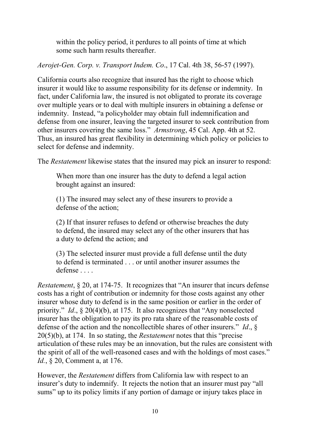within the policy period, it perdures to all points of time at which some such harm results thereafter.

*Aerojet-Gen. Corp. v. Transport Indem. Co*., 17 Cal. 4th 38, 56-57 (1997).

California courts also recognize that insured has the right to choose which insurer it would like to assume responsibility for its defense or indemnity. In fact, under California law, the insured is not obligated to prorate its coverage over multiple years or to deal with multiple insurers in obtaining a defense or indemnity. Instead, "a policyholder may obtain full indemnification and defense from one insurer, leaving the targeted insurer to seek contribution from other insurers covering the same loss." *Armstrong*, 45 Cal. App. 4th at 52. Thus, an insured has great flexibility in determining which policy or policies to select for defense and indemnity.

The *Restatement* likewise states that the insured may pick an insurer to respond:

When more than one insurer has the duty to defend a legal action brought against an insured:

(1) The insured may select any of these insurers to provide a defense of the action;

(2) If that insurer refuses to defend or otherwise breaches the duty to defend, the insured may select any of the other insurers that has a duty to defend the action; and

(3) The selected insurer must provide a full defense until the duty to defend is terminated . . . or until another insurer assumes the defense . . . .

*Restatement*, § 20, at 174-75. It recognizes that "An insurer that incurs defense costs has a right of contribution or indemnity for those costs against any other insurer whose duty to defend is in the same position or earlier in the order of priority." *Id*., § 20(4)(b), at 175. It also recognizes that "Any nonselected insurer has the obligation to pay its pro rata share of the reasonable costs of defense of the action and the noncollectible shares of other insurers." *Id*., § 20(5)(b), at 174. In so stating, the *Restatement* notes that this "precise articulation of these rules may be an innovation, but the rules are consistent with the spirit of all of the well-reasoned cases and with the holdings of most cases." *Id.*, § 20, Comment a, at 176.

However, the *Restatement* differs from California law with respect to an insurer's duty to indemnify. It rejects the notion that an insurer must pay "all sums" up to its policy limits if any portion of damage or injury takes place in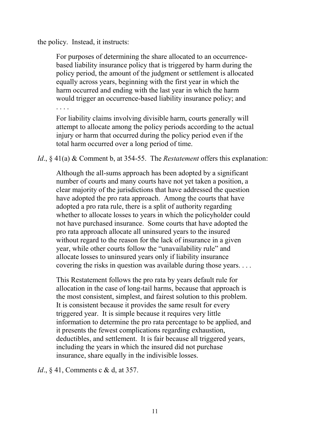the policy. Instead, it instructs:

For purposes of determining the share allocated to an occurrencebased liability insurance policy that is triggered by harm during the policy period, the amount of the judgment or settlement is allocated equally across years, beginning with the first year in which the harm occurred and ending with the last year in which the harm would trigger an occurrence-based liability insurance policy; and . . . .

For liability claims involving divisible harm, courts generally will attempt to allocate among the policy periods according to the actual injury or harm that occurred during the policy period even if the total harm occurred over a long period of time.

*Id*., § 41(a) & Comment b, at 354-55. The *Restatement* offers this explanation:

Although the all-sums approach has been adopted by a significant number of courts and many courts have not yet taken a position, a clear majority of the jurisdictions that have addressed the question have adopted the pro rata approach. Among the courts that have adopted a pro rata rule, there is a split of authority regarding whether to allocate losses to years in which the policyholder could not have purchased insurance. Some courts that have adopted the pro rata approach allocate all uninsured years to the insured without regard to the reason for the lack of insurance in a given year, while other courts follow the "unavailability rule" and allocate losses to uninsured years only if liability insurance covering the risks in question was available during those years. . . .

This Restatement follows the pro rata by years default rule for allocation in the case of long-tail harms, because that approach is the most consistent, simplest, and fairest solution to this problem. It is consistent because it provides the same result for every triggered year. It is simple because it requires very little information to determine the pro rata percentage to be applied, and it presents the fewest complications regarding exhaustion, deductibles, and settlement. It is fair because all triggered years, including the years in which the insured did not purchase insurance, share equally in the indivisible losses.

*Id.*, § 41, Comments c & d, at 357.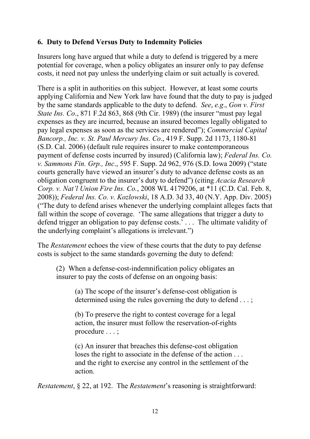# <span id="page-13-0"></span>**6. Duty to Defend Versus Duty to Indemnity Policies**

Insurers long have argued that while a duty to defend is triggered by a mere potential for coverage, when a policy obligates an insurer only to pay defense costs, it need not pay unless the underlying claim or suit actually is covered.

There is a split in authorities on this subject. However, at least some courts applying California and New York law have found that the duty to pay is judged by the same standards applicable to the duty to defend. *See*, *e.g*., *Gon v. First State Ins. Co*., 871 F.2d 863, 868 (9th Cir. 1989) (the insurer "must pay legal expenses as they are incurred, because an insured becomes legally obligated to pay legal expenses as soon as the services are rendered"); *Commercial Capital Bancorp., Inc. v. St. Paul Mercury Ins. Co*., 419 F. Supp. 2d 1173, 1180-81 (S.D. Cal. 2006) (default rule requires insurer to make contemporaneous payment of defense costs incurred by insured) (California law); *Federal Ins. Co. v. Sammons Fin. Grp., Inc*., 595 F. Supp. 2d 962, 976 (S.D. Iowa 2009) ("state courts generally have viewed an insurer's duty to advance defense costs as an obligation congruent to the insurer's duty to defend") (citing *Acacia Research Corp. v. Nat'l Union Fire Ins. Co.*, 2008 WL 4179206, at \*11 (C.D. Cal. Feb. 8, 2008)); *Federal Ins. Co. v. Kozlowski*, 18 A.D. 3d 33, 40 (N.Y. App. Div. 2005) ("The duty to defend arises whenever the underlying complaint alleges facts that fall within the scope of coverage. 'The same allegations that trigger a duty to defend trigger an obligation to pay defense costs.' . . . The ultimate validity of the underlying complaint's allegations is irrelevant.")

The *Restatement* echoes the view of these courts that the duty to pay defense costs is subject to the same standards governing the duty to defend:

(2) When a defense-cost-indemnification policy obligates an insurer to pay the costs of defense on an ongoing basis:

> (a) The scope of the insurer's defense-cost obligation is determined using the rules governing the duty to defend . . . ;

(b) To preserve the right to contest coverage for a legal action, the insurer must follow the reservation-of-rights procedure . . . ;

(c) An insurer that breaches this defense-cost obligation loses the right to associate in the defense of the action ... and the right to exercise any control in the settlement of the action.

*Restatement*, § 22, at 192. The *Restatement*'s reasoning is straightforward: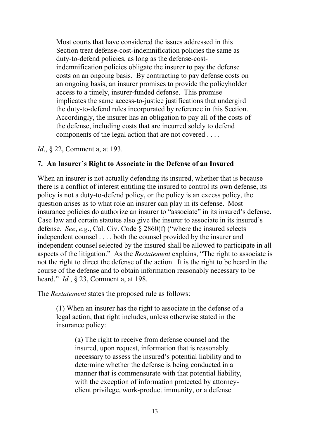Most courts that have considered the issues addressed in this Section treat defense-cost-indemnification policies the same as duty-to-defend policies, as long as the defense-costindemnification policies obligate the insurer to pay the defense costs on an ongoing basis. By contracting to pay defense costs on an ongoing basis, an insurer promises to provide the policyholder access to a timely, insurer-funded defense. This promise implicates the same access-to-justice justifications that undergird the duty-to-defend rules incorporated by reference in this Section. Accordingly, the insurer has an obligation to pay all of the costs of the defense, including costs that are incurred solely to defend components of the legal action that are not covered . . . .

*Id.*, § 22, Comment a, at 193.

#### <span id="page-14-0"></span>**7. An Insurer's Right to Associate in the Defense of an Insured**

When an insurer is not actually defending its insured, whether that is because there is a conflict of interest entitling the insured to control its own defense, its policy is not a duty-to-defend policy, or the policy is an excess policy, the question arises as to what role an insurer can play in its defense. Most insurance policies do authorize an insurer to "associate" in its insured's defense. Case law and certain statutes also give the insurer to associate in its insured's defense. *See*, *e.g*., Cal. Civ. Code § 2860(f) ("where the insured selects independent counsel . . . , both the counsel provided by the insurer and independent counsel selected by the insured shall be allowed to participate in all aspects of the litigation." As the *Restatement* explains, "The right to associate is not the right to direct the defense of the action. It is the right to be heard in the course of the defense and to obtain information reasonably necessary to be heard." *Id.*, § 23, Comment a, at 198.

The *Restatement* states the proposed rule as follows:

(1) When an insurer has the right to associate in the defense of a legal action, that right includes, unless otherwise stated in the insurance policy:

> (a) The right to receive from defense counsel and the insured, upon request, information that is reasonably necessary to assess the insured's potential liability and to determine whether the defense is being conducted in a manner that is commensurate with that potential liability, with the exception of information protected by attorneyclient privilege, work-product immunity, or a defense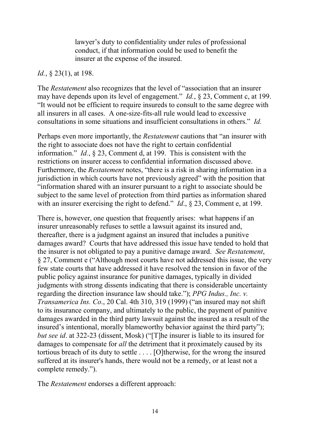lawyer's duty to confidentiality under rules of professional conduct, if that information could be used to benefit the insurer at the expense of the insured.

#### *Id.*, § 23(1), at 198.

The *Restatement* also recognizes that the level of "association that an insurer may have depends upon its level of engagement." *Id.*, § 23, Comment c, at 199. "It would not be efficient to require insureds to consult to the same degree with all insurers in all cases. A one-size-fits-all rule would lead to excessive consultations in some situations and insufficient consultations in others." *Id.*

Perhaps even more importantly, the *Restatement* cautions that "an insurer with the right to associate does not have the right to certain confidential information." *Id.*, § 23, Comment d, at 199. This is consistent with the restrictions on insurer access to confidential information discussed above. Furthermore, the *Restatement* notes, "there is a risk in sharing information in a jurisdiction in which courts have not previously agreed" with the position that "information shared with an insurer pursuant to a right to associate should be subject to the same level of protection from third parties as information shared with an insurer exercising the right to defend." *Id.*, § 23, Comment e, at 199.

There is, however, one question that frequently arises: what happens if an insurer unreasonably refuses to settle a lawsuit against its insured and, thereafter, there is a judgment against an insured that includes a punitive damages award? Courts that have addressed this issue have tended to hold that the insurer is not obligated to pay a punitive damage award. *See Restatement*, § 27, Comment e ("Although most courts have not addressed this issue, the very few state courts that have addressed it have resolved the tension in favor of the public policy against insurance for punitive damages, typically in divided judgments with strong dissents indicating that there is considerable uncertainty regarding the direction insurance law should take."); *PPG Indus., Inc. v. Transamerica Ins. Co*., 20 Cal. 4th 310, 319 (1999) ("an insured may not shift to its insurance company, and ultimately to the public, the payment of punitive damages awarded in the third party lawsuit against the insured as a result of the insured's intentional, morally blameworthy behavior against the third party"); *but see id*. at 322-23 (dissent, Mosk) ("[T]he insurer is liable to its insured for damages to compensate for *all* the detriment that it proximately caused by its tortious breach of its duty to settle . . . . [O]therwise, for the wrong the insured suffered at its insurer's hands, there would not be a remedy, or at least not a complete remedy.").

The *Restatement* endorses a different approach: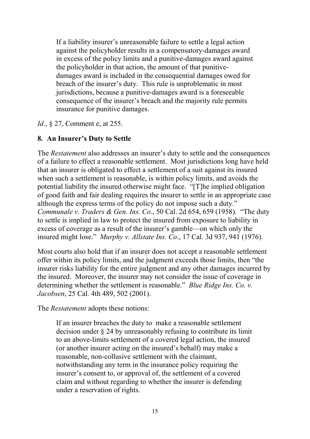If a liability insurer's unreasonable failure to settle a legal action against the policyholder results in a compensatory-damages award in excess of the policy limits and a punitive-damages award against the policyholder in that action, the amount of that punitivedamages award is included in the consequential damages owed for breach of the insurer's duty. This rule is unproblematic in most jurisdictions, because a punitive-damages award is a foreseeable consequence of the insurer's breach and the majority rule permits insurance for punitive damages.

*Id.*, § 27, Comment e, at 255.

#### <span id="page-16-0"></span>**8. An Insurer's Duty to Settle**

The *Restatement* also addresses an insurer's duty to settle and the consequences of a failure to effect a reasonable settlement. Most jurisdictions long have held that an insurer is obligated to effect a settlement of a suit against its insured when such a settlement is reasonable, is within policy limits, and avoids the potential liability the insured otherwise might face. "[T]he implied obligation of good faith and fair dealing requires the insurer to settle in an appropriate case although the express terms of the policy do not impose such a duty." *Communale v. Traders & Gen. Ins. Co*., 50 Cal. 2d 654, 659 (1958). "The duty to settle is implied in law to protect the insured from exposure to liability in excess of coverage as a result of the insurer's gamble—on which only the insured might lose." *Murphy v. Allstate Ins. Co*., 17 Cal. 3d 937, 941 (1976).

Most courts also hold that if an insurer does not accept a reasonable settlement offer within its policy limits, and the judgment exceeds those limits, then "the insurer risks liability for the entire judgment and any other damages incurred by the insured. Moreover, the insurer may not consider the issue of coverage in determining whether the settlement is reasonable." *Blue Ridge Ins. Co. v. Jacobsen*, 25 Cal. 4th 489, 502 (2001).

The *Restatement* adopts these notions:

If an insurer breaches the duty to make a reasonable settlement decision under § 24 by unreasonably refusing to contribute its limit to an above-limits settlement of a covered legal action, the insured (or another insurer acting on the insured's behalf) may make a reasonable, non-collusive settlement with the claimant, notwithstanding any term in the insurance policy requiring the insurer's consent to, or approval of, the settlement of a covered claim and without regarding to whether the insurer is defending under a reservation of rights.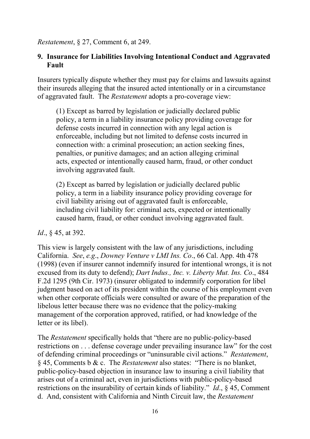*Restatement*, § 27, Comment 6, at 249.

# <span id="page-17-0"></span>**9. Insurance for Liabilities Involving Intentional Conduct and Aggravated Fault**

Insurers typically dispute whether they must pay for claims and lawsuits against their insureds alleging that the insured acted intentionally or in a circumstance of aggravated fault. The *Restatement* adopts a pro-coverage view:

(1) Except as barred by legislation or judicially declared public policy, a term in a liability insurance policy providing coverage for defense costs incurred in connection with any legal action is enforceable, including but not limited to defense costs incurred in connection with: a criminal prosecution; an action seeking fines, penalties, or punitive damages; and an action alleging criminal acts, expected or intentionally caused harm, fraud, or other conduct involving aggravated fault.

(2) Except as barred by legislation or judicially declared public policy, a term in a liability insurance policy providing coverage for civil liability arising out of aggravated fault is enforceable, including civil liability for: criminal acts, expected or intentionally caused harm, fraud, or other conduct involving aggravated fault.

*Id*., § 45, at 392.

This view is largely consistent with the law of any jurisdictions, including California. *See*, *e.g*., *Downey Venture v LMI Ins. Co*., 66 Cal. App. 4th 478 (1998) (even if insurer cannot indemnify insured for intentional wrongs, it is not excused from its duty to defend); *Dart Indus., Inc. v. Liberty Mut. Ins. Co*., 484 F.2d 1295 (9th Cir. 1973) (insurer obligated to indemnify corporation for libel judgment based on act of its president within the course of his employment even when other corporate officials were consulted or aware of the preparation of the libelous letter because there was no evidence that the policy-making management of the corporation approved, ratified, or had knowledge of the letter or its libel).

The *Restatement* specifically holds that "there are no public-policy-based restrictions on . . . defense coverage under prevailing insurance law" for the cost of defending criminal proceedings or "uninsurable civil actions." *Restatement*, § 45, Comments b & c. The *Restatement* also states: "There is no blanket, public-policy-based objection in insurance law to insuring a civil liability that arises out of a criminal act, even in jurisdictions with public-policy-based restrictions on the insurability of certain kinds of liability." *Id*., § 45, Comment d. And, consistent with California and Ninth Circuit law, the *Restatement*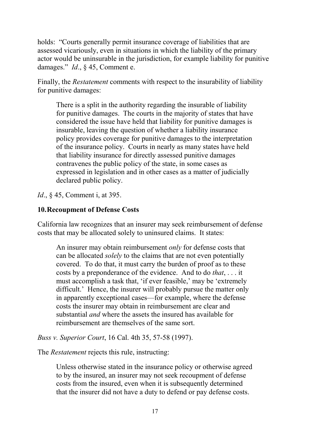holds: "Courts generally permit insurance coverage of liabilities that are assessed vicariously, even in situations in which the liability of the primary actor would be uninsurable in the jurisdiction, for example liability for punitive damages." *Id*., § 45, Comment e.

Finally, the *Restatement* comments with respect to the insurability of liability for punitive damages:

There is a split in the authority regarding the insurable of liability for punitive damages. The courts in the majority of states that have considered the issue have held that liability for punitive damages is insurable, leaving the question of whether a liability insurance policy provides coverage for punitive damages to the interpretation of the insurance policy. Courts in nearly as many states have held that liability insurance for directly assessed punitive damages contravenes the public policy of the state, in some cases as expressed in legislation and in other cases as a matter of judicially declared public policy.

*Id.*, § 45, Comment i, at 395.

# <span id="page-18-0"></span>**10.Recoupment of Defense Costs**

California law recognizes that an insurer may seek reimbursement of defense costs that may be allocated solely to uninsured claims. It states:

An insurer may obtain reimbursement *only* for defense costs that can be allocated *solely* to the claims that are not even potentially covered. To do that, it must carry the burden of proof as to these costs by a preponderance of the evidence. And to do *that*, . . . it must accomplish a task that, 'if ever feasible,' may be 'extremely difficult.' Hence, the insurer will probably pursue the matter only in apparently exceptional cases—for example, where the defense costs the insurer may obtain in reimbursement are clear and substantial *and* where the assets the insured has available for reimbursement are themselves of the same sort.

*Buss v. Superior Court*, 16 Cal. 4th 35, 57-58 (1997).

The *Restatement* rejects this rule, instructing:

Unless otherwise stated in the insurance policy or otherwise agreed to by the insured, an insurer may not seek recoupment of defense costs from the insured, even when it is subsequently determined that the insurer did not have a duty to defend or pay defense costs.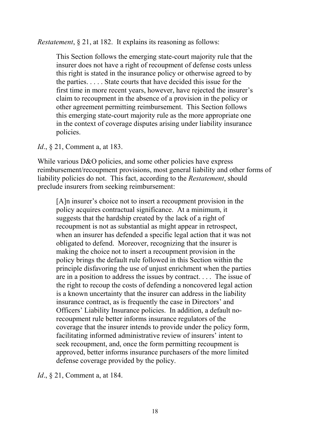*Restatement*, § 21, at 182. It explains its reasoning as follows:

This Section follows the emerging state-court majority rule that the insurer does not have a right of recoupment of defense costs unless this right is stated in the insurance policy or otherwise agreed to by the parties. . . . . State courts that have decided this issue for the first time in more recent years, however, have rejected the insurer's claim to recoupment in the absence of a provision in the policy or other agreement permitting reimbursement. This Section follows this emerging state-court majority rule as the more appropriate one in the context of coverage disputes arising under liability insurance policies.

*Id.*, § 21, Comment a, at 183.

While various D&O policies, and some other policies have express reimbursement/recoupment provisions, most general liability and other forms of liability policies do not. This fact, according to the *Restatement*, should preclude insurers from seeking reimbursement:

[A]n insurer's choice not to insert a recoupment provision in the policy acquires contractual significance. At a minimum, it suggests that the hardship created by the lack of a right of recoupment is not as substantial as might appear in retrospect, when an insurer has defended a specific legal action that it was not obligated to defend. Moreover, recognizing that the insurer is making the choice not to insert a recoupment provision in the policy brings the default rule followed in this Section within the principle disfavoring the use of unjust enrichment when the parties are in a position to address the issues by contract. . . . The issue of the right to recoup the costs of defending a noncovered legal action is a known uncertainty that the insurer can address in the liability insurance contract, as is frequently the case in Directors' and Officers' Liability Insurance policies. In addition, a default norecoupment rule better informs insurance regulators of the coverage that the insurer intends to provide under the policy form, facilitating informed administrative review of insurers' intent to seek recoupment, and, once the form permitting recoupment is approved, better informs insurance purchasers of the more limited defense coverage provided by the policy.

*Id.*, § 21, Comment a, at 184.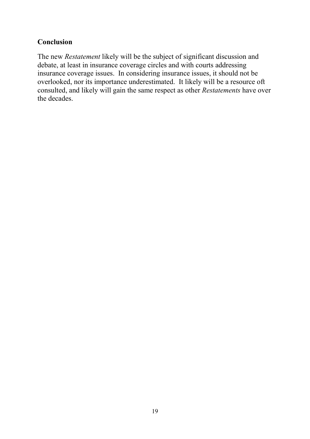# **Conclusion**

The new *Restatement* likely will be the subject of significant discussion and debate, at least in insurance coverage circles and with courts addressing insurance coverage issues. In considering insurance issues, it should not be overlooked, nor its importance underestimated. It likely will be a resource oft consulted, and likely will gain the same respect as other *Restatements* have over the decades.